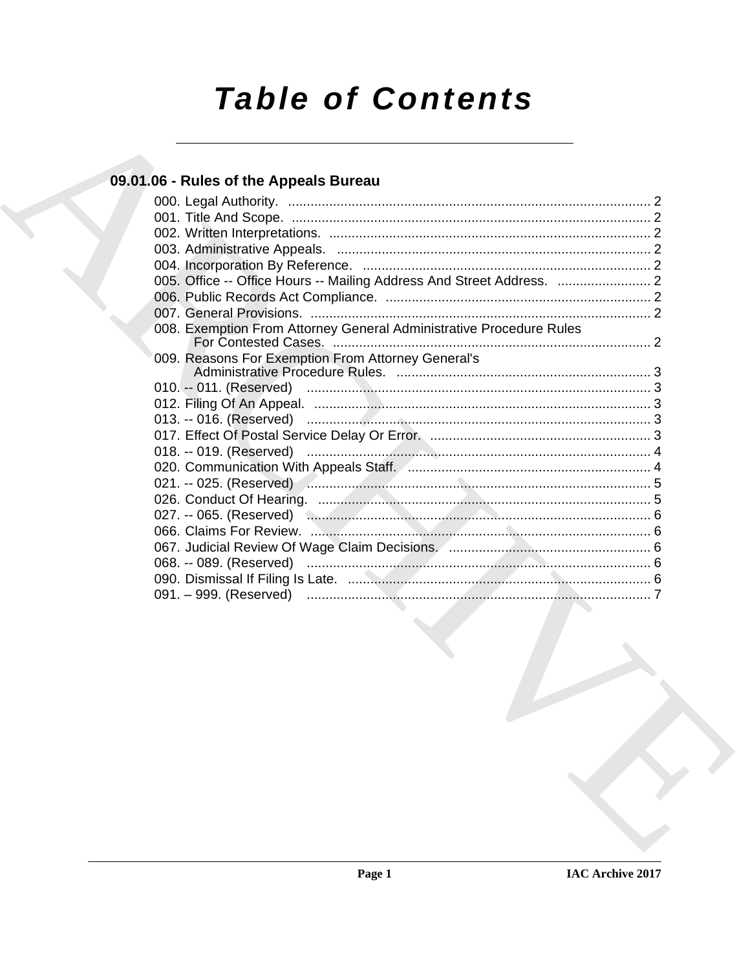# **Table of Contents**

### 09.01.06 - Rules of the Appeals Bureau

| 005. Office -- Office Hours -- Mailing Address And Street Address.  2        |  |
|------------------------------------------------------------------------------|--|
|                                                                              |  |
|                                                                              |  |
| 008. Exemption From Attorney General Administrative Procedure Rules          |  |
| 009. Reasons For Exemption From Attorney General's                           |  |
|                                                                              |  |
|                                                                              |  |
|                                                                              |  |
|                                                                              |  |
|                                                                              |  |
|                                                                              |  |
|                                                                              |  |
|                                                                              |  |
| 027. -- 065. (Reserved) <b>Commission Commission Commission Commission</b> 6 |  |
|                                                                              |  |
|                                                                              |  |
|                                                                              |  |
|                                                                              |  |
|                                                                              |  |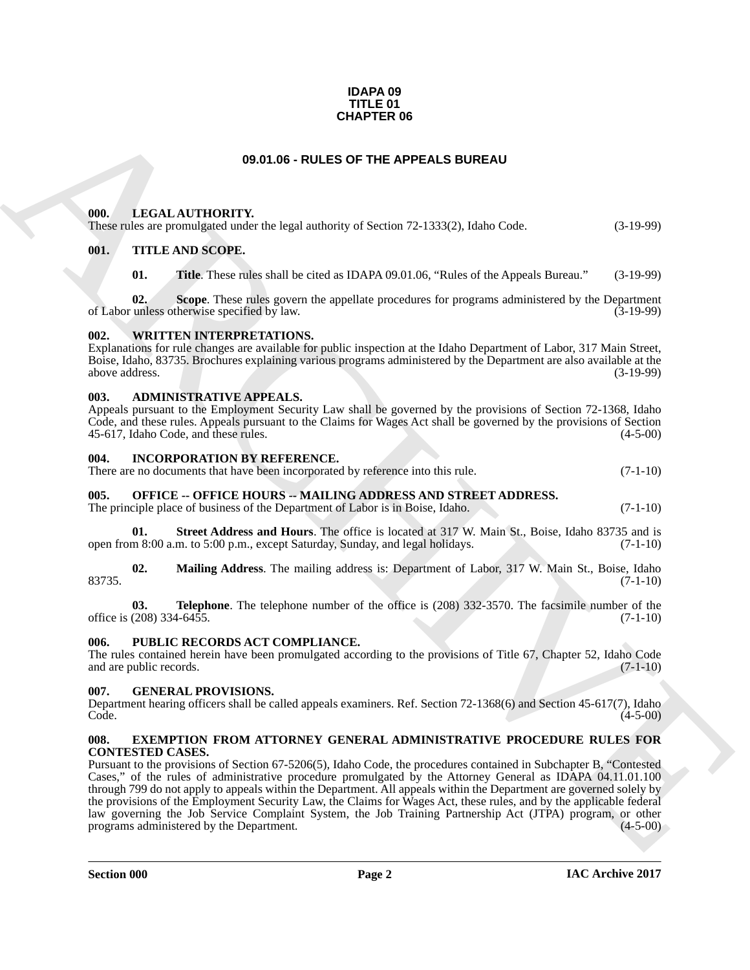#### **IDAPA 09 TITLE 01 CHAPTER 06**

#### **09.01.06 - RULES OF THE APPEALS BUREAU**

#### <span id="page-1-1"></span><span id="page-1-0"></span>**000. LEGAL AUTHORITY.**

These rules are promulgated under the legal authority of Section 72-1333(2), Idaho Code. (3-19-99)

#### <span id="page-1-2"></span>**001. TITLE AND SCOPE.**

**01. Title**. These rules shall be cited as IDAPA 09.01.06, "Rules of the Appeals Bureau." (3-19-99)

**02. Scope**. These rules govern the appellate procedures for programs administered by the Department of Labor unless otherwise specified by law. (3-19-99)

#### <span id="page-1-3"></span>**WRITTEN INTERPRETATIONS.**

Explanations for rule changes are available for public inspection at the Idaho Department of Labor, 317 Main Street, Boise, Idaho, 83735. Brochures explaining various programs administered by the Department are also available at the above address. (3-19-99)

#### <span id="page-1-4"></span>**003. ADMINISTRATIVE APPEALS.**

Appeals pursuant to the Employment Security Law shall be governed by the provisions of Section 72-1368, Idaho Code, and these rules. Appeals pursuant to the Claims for Wages Act shall be governed by the provisions of Section 45-617, Idaho Code, and these rules. (4-5-00)

#### <span id="page-1-5"></span>**004. INCORPORATION BY REFERENCE.**

| There are no documents that have been incorporated by reference into this rule. |  | $(7-1-10)$ |
|---------------------------------------------------------------------------------|--|------------|
|                                                                                 |  |            |

#### <span id="page-1-6"></span>**005. OFFICE -- OFFICE HOURS -- MAILING ADDRESS AND STREET ADDRESS.**

The principle place of business of the Department of Labor is in Boise, Idaho. (7-1-10)

**01.** Street Address and Hours. The office is located at 317 W. Main St., Boise, Idaho 83735 and is m 8:00 a.m. to 5:00 p.m., except Saturday, Sunday, and legal holidays. (7-1-10) open from 8:00 a.m. to 5:00 p.m., except Saturday, Sunday, and legal holidays.

**02. Mailing Address**. The mailing address is: Department of Labor, 317 W. Main St., Boise, Idaho  $83735.$  (7-1-10)

**03. Telephone**. The telephone number of the office is (208) 332-3570. The facsimile number of the (208) 334-6455. office is  $(208)$  334-6455.

#### <span id="page-1-7"></span>**006. PUBLIC RECORDS ACT COMPLIANCE.**

The rules contained herein have been promulgated according to the provisions of Title 67, Chapter 52, Idaho Code and are public records. (7-1-10) and are public records.

#### <span id="page-1-8"></span>**007. GENERAL PROVISIONS.**

Department hearing officers shall be called appeals examiners. Ref. Section 72-1368(6) and Section 45-617(7), Idaho  $\text{Code.}$  (4-5-00)

#### <span id="page-1-10"></span><span id="page-1-9"></span>**008. EXEMPTION FROM ATTORNEY GENERAL ADMINISTRATIVE PROCEDURE RULES FOR CONTESTED CASES.**

**CHAPTER OS**<br> **CHARCHIVE DE CALES OF THE APPEALS BUREAU**<br> **CHARCHIVE DE CALES OF THE APPEALS BUREAU**<br> **CHARCHIVE DESCRIPTION COVERNATION**<br> **CHARCHIVE DESCRIPTION** (**CALES OF THE APPEALS POSSITER CALES OF THE APPEALS POSSI** Pursuant to the provisions of Section 67-5206(5), Idaho Code, the procedures contained in Subchapter B, "Contested Cases," of the rules of administrative procedure promulgated by the Attorney General as IDAPA 04.11.01.100 through 799 do not apply to appeals within the Department. All appeals within the Department are governed solely by the provisions of the Employment Security Law, the Claims for Wages Act, these rules, and by the applicable federal law governing the Job Service Complaint System, the Job Training Partnership Act (JTPA) program, or other programs administered by the Department. (4-5-00)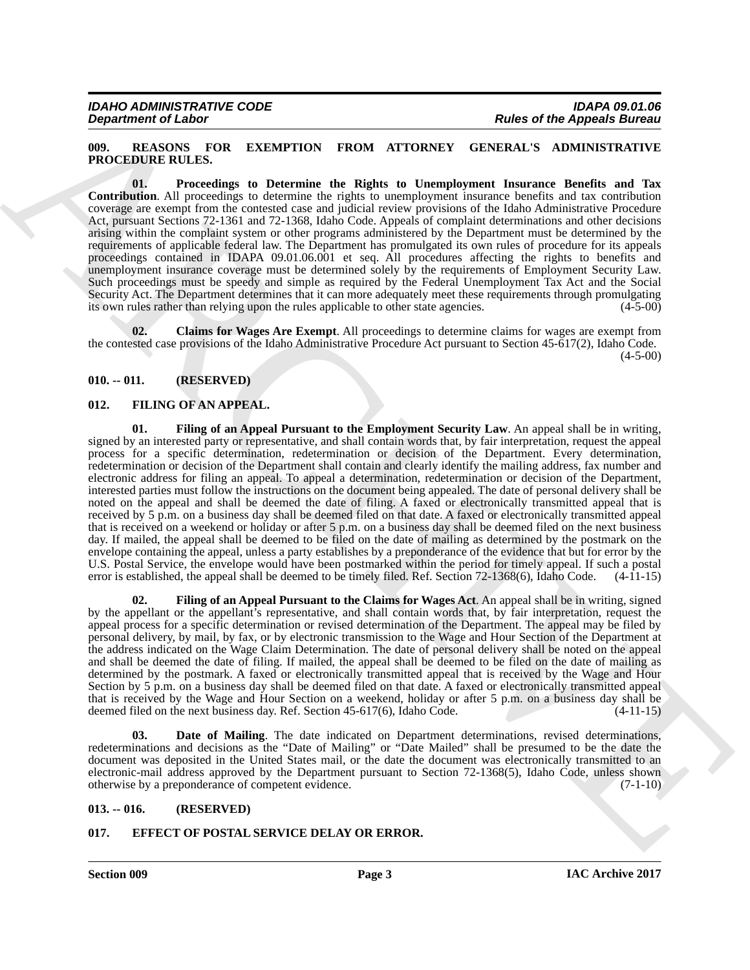#### <span id="page-2-10"></span><span id="page-2-0"></span>**009. REASONS FOR EXEMPTION FROM ATTORNEY GENERAL'S ADMINISTRATIVE PROCEDURE RULES.**

<span id="page-2-12"></span>**01. Proceedings to Determine the Rights to Unemployment Insurance Benefits and Tax Contribution**. All proceedings to determine the rights to unemployment insurance benefits and tax contribution coverage are exempt from the contested case and judicial review provisions of the Idaho Administrative Procedure Act, pursuant Sections 72-1361 and 72-1368, Idaho Code. Appeals of complaint determinations and other decisions arising within the complaint system or other programs administered by the Department must be determined by the requirements of applicable federal law. The Department has promulgated its own rules of procedure for its appeals proceedings contained in IDAPA 09.01.06.001 et seq. All procedures affecting the rights to benefits and unemployment insurance coverage must be determined solely by the requirements of Employment Security Law. Such proceedings must be speedy and simple as required by the Federal Unemployment Tax Act and the Social Security Act. The Department determines that it can more adequately meet these requirements through promulgating its own rules rather than relying upon the rules applicable to other state agencies. (4-5-00)

<span id="page-2-11"></span>**02. Claims for Wages Are Exempt**. All proceedings to determine claims for wages are exempt from the contested case provisions of the Idaho Administrative Procedure Act pursuant to Section 45-617(2), Idaho Code.  $(4-5-00)$ 

#### <span id="page-2-1"></span>**010. -- 011. (RESERVED)**

#### <span id="page-2-9"></span><span id="page-2-6"></span><span id="page-2-2"></span>**012. FILING OF AN APPEAL.**

**Equivalent of Lies Characteristics** (RIOS AVID) ROOM ATTORNEY (BOS APPROXIMATED PROCESSION CONTINUES)<br>
THOT CHARACTERS (PACKING TO RESIDENT ON FRONT ATTORNEY (BOSSESS) AND CHARACTERS (PACKING TO RESIDENT ON THE CHARACTER **01. Filing of an Appeal Pursuant to the Employment Security Law**. An appeal shall be in writing, signed by an interested party or representative, and shall contain words that, by fair interpretation, request the appeal process for a specific determination, redetermination or decision of the Department. Every determination, redetermination or decision of the Department shall contain and clearly identify the mailing address, fax number and electronic address for filing an appeal. To appeal a determination, redetermination or decision of the Department, interested parties must follow the instructions on the document being appealed. The date of personal delivery shall be noted on the appeal and shall be deemed the date of filing. A faxed or electronically transmitted appeal that is received by 5 p.m. on a business day shall be deemed filed on that date. A faxed or electronically transmitted appeal that is received on a weekend or holiday or after 5 p.m. on a business day shall be deemed filed on the next business day. If mailed, the appeal shall be deemed to be filed on the date of mailing as determined by the postmark on the envelope containing the appeal, unless a party establishes by a preponderance of the evidence that but for error by the U.S. Postal Service, the envelope would have been postmarked within the period for timely appeal. If such a postal error is established, the appeal shall be deemed to be timely filed. Ref. Section 72-1368(6), Idaho Code. (4-11-15)

<span id="page-2-8"></span>**02. Filing of an Appeal Pursuant to the Claims for Wages Act**. An appeal shall be in writing, signed by the appellant or the appellant's representative, and shall contain words that, by fair interpretation, request the appeal process for a specific determination or revised determination of the Department. The appeal may be filed by personal delivery, by mail, by fax, or by electronic transmission to the Wage and Hour Section of the Department at the address indicated on the Wage Claim Determination. The date of personal delivery shall be noted on the appeal and shall be deemed the date of filing. If mailed, the appeal shall be deemed to be filed on the date of mailing as determined by the postmark. A faxed or electronically transmitted appeal that is received by the Wage and Hour Section by 5 p.m. on a business day shall be deemed filed on that date. A faxed or electronically transmitted appeal that is received by the Wage and Hour Section on a weekend, holiday or after 5 p.m. on a business day shall be deemed filed on the next business day. Ref. Section 45-617(6), Idaho Code. (4-11-15)

<span id="page-2-7"></span>**03. Date of Mailing**. The date indicated on Department determinations, revised determinations, redeterminations and decisions as the "Date of Mailing" or "Date Mailed" shall be presumed to be the date the document was deposited in the United States mail, or the date the document was electronically transmitted to an electronic-mail address approved by the Department pursuant to Section 72-1368(5), Idaho Code, unless shown otherwise by a preponderance of competent evidence. (7-1-10)

#### <span id="page-2-3"></span>**013. -- 016. (RESERVED)**

#### <span id="page-2-5"></span><span id="page-2-4"></span>**017. EFFECT OF POSTAL SERVICE DELAY OR ERROR.**

**Section 009 Page 3**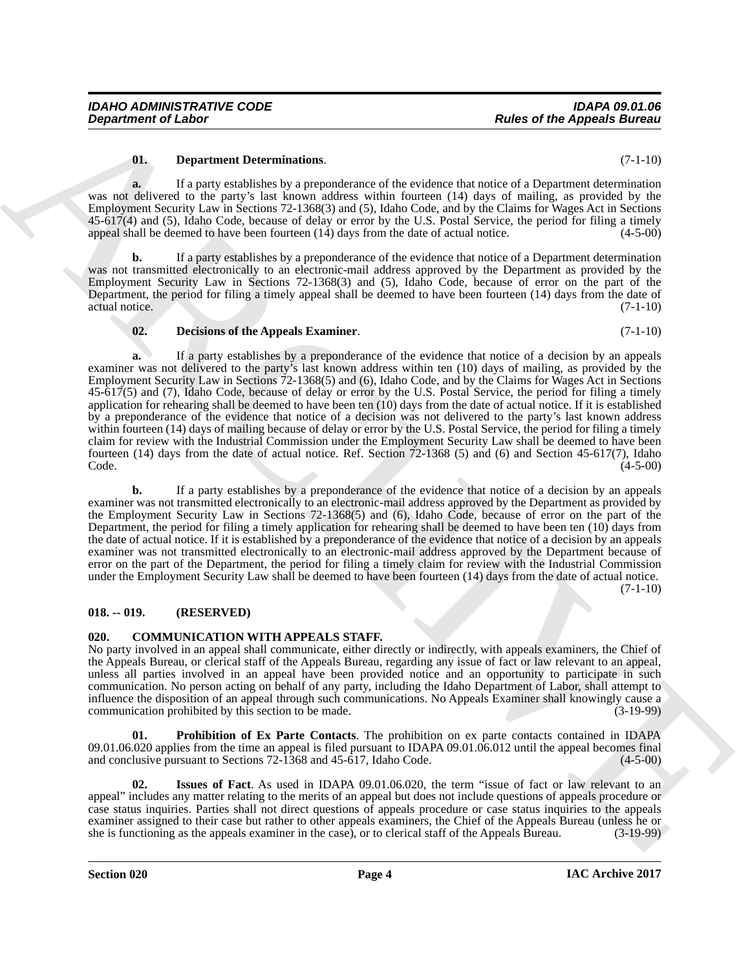#### <span id="page-3-6"></span>**01. Department Determinations**. (7-1-10)

**a.** If a party establishes by a preponderance of the evidence that notice of a Department determination was not delivered to the party's last known address within fourteen (14) days of mailing, as provided by the Employment Security Law in Sections 72-1368(3) and (5), Idaho Code, and by the Claims for Wages Act in Sections 45-617(4) and (5), Idaho Code, because of delay or error by the U.S. Postal Service, the period for filing a timely appeal shall be deemed to have been fourteen  $(14)$  days from the date of actual notice.  $(4-5-00)$ 

**b.** If a party establishes by a preponderance of the evidence that notice of a Department determination was not transmitted electronically to an electronic-mail address approved by the Department as provided by the Employment Security Law in Sections 72-1368(3) and (5), Idaho Code, because of error on the part of the Department, the period for filing a timely appeal shall be deemed to have been fourteen (14) days from the date of actual notice. (7-1-10)

#### <span id="page-3-5"></span>**02. Decisions of the Appeals Examiner**. (7-1-10)

**Equation of Labor<br>
Constrained Determinedions.**<br> **Equation and Equation and Equation and Equation and Equation 2**<br> **Equation and Equation and Equation 2**<br> **Equation 3 Equation 3 Equation 2**<br> **Equation 3 Equation 3 a.** If a party establishes by a preponderance of the evidence that notice of a decision by an appeals examiner was not delivered to the party's last known address within ten (10) days of mailing, as provided by the Employment Security Law in Sections 72-1368(5) and (6), Idaho Code, and by the Claims for Wages Act in Sections 45-617(5) and (7), Idaho Code, because of delay or error by the U.S. Postal Service, the period for filing a timely application for rehearing shall be deemed to have been ten (10) days from the date of actual notice. If it is established by a preponderance of the evidence that notice of a decision was not delivered to the party's last known address within fourteen (14) days of mailing because of delay or error by the U.S. Postal Service, the period for filing a timely claim for review with the Industrial Commission under the Employment Security Law shall be deemed to have been fourteen (14) days from the date of actual notice. Ref. Section  $72-1368$  (5) and (6) and Section 45-617(7), Idaho Code. (4-5-00)  $\text{Code.}$  (4-5-00)

**b.** If a party establishes by a preponderance of the evidence that notice of a decision by an appeals examiner was not transmitted electronically to an electronic-mail address approved by the Department as provided by the Employment Security Law in Sections 72-1368(5) and (6), Idaho Code, because of error on the part of the Department, the period for filing a timely application for rehearing shall be deemed to have been ten (10) days from the date of actual notice. If it is established by a preponderance of the evidence that notice of a decision by an appeals examiner was not transmitted electronically to an electronic-mail address approved by the Department because of error on the part of the Department, the period for filing a timely claim for review with the Industrial Commission under the Employment Security Law shall be deemed to have been fourteen (14) days from the date of actual notice.

 $(7-1-10)$ 

#### <span id="page-3-0"></span>**018. -- 019. (RESERVED)**

#### <span id="page-3-2"></span><span id="page-3-1"></span>**020. COMMUNICATION WITH APPEALS STAFF.**

No party involved in an appeal shall communicate, either directly or indirectly, with appeals examiners, the Chief of the Appeals Bureau, or clerical staff of the Appeals Bureau, regarding any issue of fact or law relevant to an appeal, unless all parties involved in an appeal have been provided notice and an opportunity to participate in such communication. No person acting on behalf of any party, including the Idaho Department of Labor, shall attempt to influence the disposition of an appeal through such communications. No Appeals Examiner shall knowingly cause a communication prohibited by this section to be made. (3-19-99)

<span id="page-3-4"></span>**01. Prohibition of Ex Parte Contacts**. The prohibition on ex parte contacts contained in IDAPA 09.01.06.020 applies from the time an appeal is filed pursuant to IDAPA 09.01.06.012 until the appeal becomes final and conclusive pursuant to Sections 72-1368 and 45-617, Idaho Code.  $(4-5-00)$ and conclusive pursuant to Sections  $72-\overline{1368}$  and  $45-\overline{617}$ , Idaho Code.

<span id="page-3-3"></span>**02. Issues of Fact**. As used in IDAPA 09.01.06.020, the term "issue of fact or law relevant to an appeal" includes any matter relating to the merits of an appeal but does not include questions of appeals procedure or case status inquiries. Parties shall not direct questions of appeals procedure or case status inquiries to the appeals examiner assigned to their case but rather to other appeals examiners, the Chief of the Appeals Bureau (unless he or she is functioning as the appeals examiner in the case), or to clerical staff of the Appeals Bureau. (3-1 she is functioning as the appeals examiner in the case), or to clerical staff of the Appeals Bureau.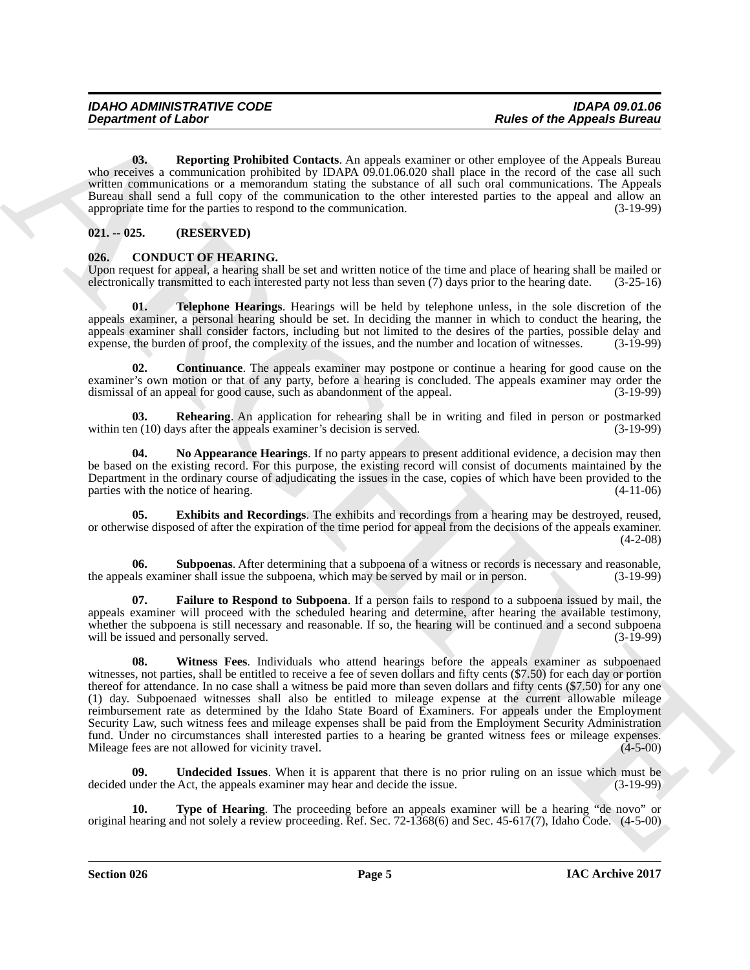<span id="page-4-2"></span>**03. Reporting Prohibited Contacts**. An appeals examiner or other employee of the Appeals Bureau who receives a communication prohibited by IDAPA 09.01.06.020 shall place in the record of the case all such written communications or a memorandum stating the substance of all such oral communications. The Appeals Bureau shall send a full copy of the communication to the other interested parties to the appeal and allow an appropriate time for the parties to respond to the communication. (3-19-99) appropriate time for the parties to respond to the communication.

#### <span id="page-4-0"></span>**021. -- 025. (RESERVED)**

#### <span id="page-4-3"></span><span id="page-4-1"></span>**026. CONDUCT OF HEARING.**

Upon request for appeal, a hearing shall be set and written notice of the time and place of hearing shall be mailed or electronically transmitted to each interested party not less than seven (7) days prior to the hearing d electronically transmitted to each interested party not less than seven (7) days prior to the hearing date.

<span id="page-4-10"></span>**01. Telephone Hearings**. Hearings will be held by telephone unless, in the sole discretion of the appeals examiner, a personal hearing should be set. In deciding the manner in which to conduct the hearing, the appeals examiner shall consider factors, including but not limited to the desires of the parties, possible delay and expense, the burden of proof, the complexity of the issues, and the number and location of witnesses. (3expense, the burden of proof, the complexity of the issues, and the number and location of witnesses.

<span id="page-4-4"></span>**02. Continuance**. The appeals examiner may postpone or continue a hearing for good cause on the examiner's own motion or that of any party, before a hearing is concluded. The appeals examiner may order the dismissal of an appeal for good cause, such as abandonment of the appeal. (3-19-99) dismissal of an appeal for good cause, such as abandonment of the appeal.

<span id="page-4-8"></span>**03. Rehearing**. An application for rehearing shall be in writing and filed in person or postmarked in (10) days after the appeals examiner's decision is served. (3-19-99) within ten  $(10)$  days after the appeals examiner's decision is served.

<span id="page-4-7"></span>**04. No Appearance Hearings**. If no party appears to present additional evidence, a decision may then be based on the existing record. For this purpose, the existing record will consist of documents maintained by the Department in the ordinary course of adjudicating the issues in the case, copies of which have been provided to the parties with the notice of hearing. (4-11-06) parties with the notice of hearing.

<span id="page-4-5"></span>**05. Exhibits and Recordings**. The exhibits and recordings from a hearing may be destroyed, reused, or otherwise disposed of after the expiration of the time period for appeal from the decisions of the appeals examiner. (4-2-08)

<span id="page-4-9"></span>**06.** Subpoenas. After determining that a subpoena of a witness or records is necessary and reasonable, als examiner shall issue the subpoena, which may be served by mail or in person.  $(3-19-99)$ the appeals examiner shall issue the subpoena, which may be served by mail or in person.

<span id="page-4-13"></span><span id="page-4-6"></span>**07. Failure to Respond to Subpoena**. If a person fails to respond to a subpoena issued by mail, the appeals examiner will proceed with the scheduled hearing and determine, after hearing the available testimony, whether the subpoena is still necessary and reasonable. If so, the hearing will be continued and a second subpoena will be issued and personally served.  $(3-19-99)$ 

**Equation of Linkow Theorem is the state of the Appearing Boronto Comparison and the appearing formula was a state of the appearing the state of the state of the state of the state of the state of the state of the state o 08. Witness Fees**. Individuals who attend hearings before the appeals examiner as subpoenaed witnesses, not parties, shall be entitled to receive a fee of seven dollars and fifty cents (\$7.50) for each day or portion thereof for attendance. In no case shall a witness be paid more than seven dollars and fifty cents (\$7.50) for any one (1) day. Subpoenaed witnesses shall also be entitled to mileage expense at the current allowable mileage reimbursement rate as determined by the Idaho State Board of Examiners. For appeals under the Employment Security Law, such witness fees and mileage expenses shall be paid from the Employment Security Administration fund. Under no circumstances shall interested parties to a hearing be granted witness fees or mileage expenses.<br>Mileage fees are not allowed for vicinity travel. Mileage fees are not allowed for vicinity travel.

<span id="page-4-12"></span>**09. Undecided Issues**. When it is apparent that there is no prior ruling on an issue which must be under the Act, the appeals examiner may hear and decide the issue. (3-19-99) decided under the Act, the appeals examiner may hear and decide the issue.

<span id="page-4-11"></span>**10. Type of Hearing**. The proceeding before an appeals examiner will be a hearing "de novo" or original hearing and not solely a review proceeding. Ref. Sec. 72-1368(6) and Sec. 45-617(7), Idaho Code. (4-5-00)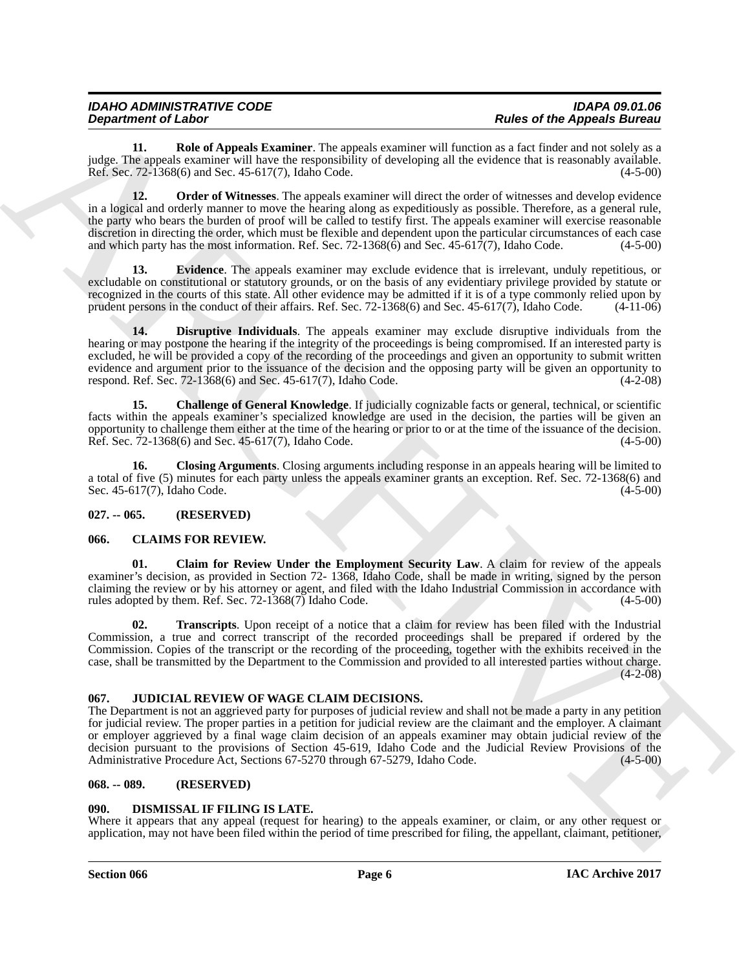| <b>IDAHO ADMINISTRATIVE CODE</b> | <b>IDAPA 09.01.06</b>              |
|----------------------------------|------------------------------------|
| <b>Department of Labor</b>       | <b>Rules of the Appeals Bureau</b> |

<span id="page-5-13"></span><span id="page-5-12"></span>**11. Role of Appeals Examiner**. The appeals examiner will function as a fact finder and not solely as a judge. The appeals examiner will have the responsibility of developing all the evidence that is reasonably available. Ref. Sec. 72-1368(6) and Sec. 45-617(7), Idaho Code. (4-5-00)

**Department of Labor.**<br> **ARCHIVES** Channels Counter The appears required required in Eq. 2. The counter of Labor. The state of Labor Research is a state of Labor Research in the state of Labor Research in the state of Lab **12. Order of Witnesses**. The appeals examiner will direct the order of witnesses and develop evidence in a logical and orderly manner to move the hearing along as expeditiously as possible. Therefore, as a general rule, the party who bears the burden of proof will be called to testify first. The appeals examiner will exercise reasonable discretion in directing the order, which must be flexible and dependent upon the particular circumstances of each case and which party has the most information. Ref. Sec. 72-1368(6) and Sec. 45-617(7), Idaho Code. (4-5-00)

<span id="page-5-11"></span>**13. Evidence**. The appeals examiner may exclude evidence that is irrelevant, unduly repetitious, or excludable on constitutional or statutory grounds, or on the basis of any evidentiary privilege provided by statute or recognized in the courts of this state. All other evidence may be admitted if it is of a type commonly relied upon by prudent persons in the conduct of their affairs. Ref. Sec. 72-1368(6) and Sec. 45-617(7), Idaho Code. (4-11-06)

<span id="page-5-10"></span>**14. Disruptive Individuals**. The appeals examiner may exclude disruptive individuals from the hearing or may postpone the hearing if the integrity of the proceedings is being compromised. If an interested party is excluded, he will be provided a copy of the recording of the proceedings and given an opportunity to submit written evidence and argument prior to the issuance of the decision and the opposing party will be given an opportunity to respond. Ref. Sec. 72-1368(6) and Sec. 45-617(7), Idaho Code. (4-2-08)

<span id="page-5-8"></span>**15. Challenge of General Knowledge**. If judicially cognizable facts or general, technical, or scientific facts within the appeals examiner's specialized knowledge are used in the decision, the parties will be given an opportunity to challenge them either at the time of the hearing or prior to or at the time of the issuance of the decision. Ref. Sec. 72-1368(6) and Sec. 45-617(7), Idaho Code. (4-5-00)

<span id="page-5-9"></span>**16. Closing Arguments**. Closing arguments including response in an appeals hearing will be limited to a total of five (5) minutes for each party unless the appeals examiner grants an exception. Ref. Sec. 72-1368(6) and Sec. 45-617(7), Idaho Code. (4-5-00)

#### <span id="page-5-0"></span>**027. -- 065. (RESERVED)**

#### <span id="page-5-5"></span><span id="page-5-1"></span>**066. CLAIMS FOR REVIEW.**

<span id="page-5-6"></span>**01. Claim for Review Under the Employment Security Law**. A claim for review of the appeals examiner's decision, as provided in Section 72- 1368, Idaho Code, shall be made in writing, signed by the person claiming the review or by his attorney or agent, and filed with the Idaho Industrial Commission in accordance with rules adopted by them. Ref. Sec. 72-1368(7) Idaho Code. (4-5-00) rules adopted by them. Ref. Sec. 72-1368(7) Idaho Code.

<span id="page-5-7"></span>**02. Transcripts**. Upon receipt of a notice that a claim for review has been filed with the Industrial Commission, a true and correct transcript of the recorded proceedings shall be prepared if ordered by the Commission. Copies of the transcript or the recording of the proceeding, together with the exhibits received in the case, shall be transmitted by the Department to the Commission and provided to all interested parties without charge.  $(4 - 2 - 08)$ 

#### <span id="page-5-15"></span><span id="page-5-2"></span>**067. JUDICIAL REVIEW OF WAGE CLAIM DECISIONS.**

The Department is not an aggrieved party for purposes of judicial review and shall not be made a party in any petition for judicial review. The proper parties in a petition for judicial review are the claimant and the employer. A claimant or employer aggrieved by a final wage claim decision of an appeals examiner may obtain judicial review of the decision pursuant to the provisions of Section 45-619, Idaho Code and the Judicial Review Provisions of the Administrative Procedure Act, Sections 67-5270 through 67-5279, Idaho Code. (4-5-00) Administrative Procedure Act, Sections 67-5270 through 67-5279, Idaho Code.

#### <span id="page-5-3"></span>**068. -- 089. (RESERVED)**

#### <span id="page-5-14"></span><span id="page-5-4"></span>**090. DISMISSAL IF FILING IS LATE.**

Where it appears that any appeal (request for hearing) to the appeals examiner, or claim, or any other request or application, may not have been filed within the period of time prescribed for filing, the appellant, claimant, petitioner,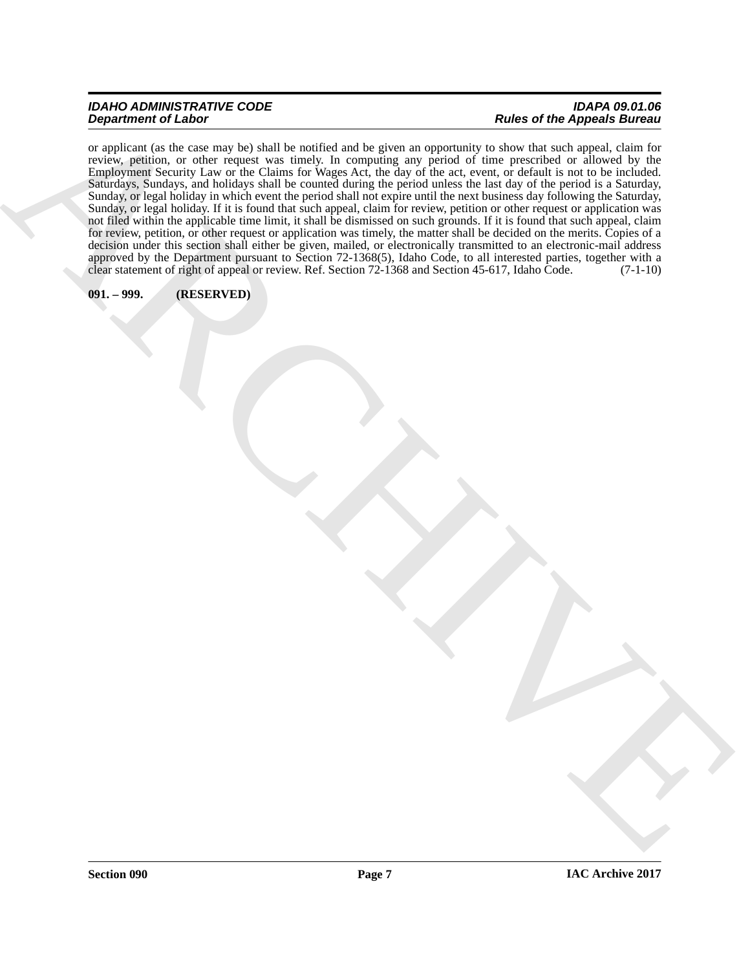## *IDAHO ADMINISTRATIVE CODE IDAPA 09.01.06*

## *Rules of the Appeals Bureau*

 $\vec{B}$  and the control of  $\vec{B}$  and  $\vec{B}$  and  $\vec{B}$  and  $\vec{B}$  are the control of  $\vec{B}$  and  $\vec{B}$  and  $\vec{B}$  and  $\vec{B}$  and  $\vec{B}$  are  $\vec{B}$  and  $\vec{B}$  and  $\vec{B}$  are  $\vec{B}$  and  $\vec{B}$  are  $\vec{B}$  and or applicant (as the case may be) shall be notified and be given an opportunity to show that such appeal, claim for review, petition, or other request was timely. In computing any period of time prescribed or allowed by the Employment Security Law or the Claims for Wages Act, the day of the act, event, or default is not to be included. Saturdays, Sundays, and holidays shall be counted during the period unless the last day of the period is a Saturday, Sunday, or legal holiday in which event the period shall not expire until the next business day following the Saturday, Sunday, or legal holiday. If it is found that such appeal, claim for review, petition or other request or application was not filed within the applicable time limit, it shall be dismissed on such grounds. If it is found that such appeal, claim for review, petition, or other request or application was timely, the matter shall be decided on the merits. Copies of a decision under this section shall either be given, mailed, or electronically transmitted to an electronic-mail address approved by the Department pursuant to Section 72-1368(5), Idaho Code, to all interested parties, together with a clear statement of right of appeal or review. Ref. Section 72-1368 and Section 45-617, Idaho Code. (7-1-10)

#### <span id="page-6-0"></span>**091. – 999. (RESERVED)**